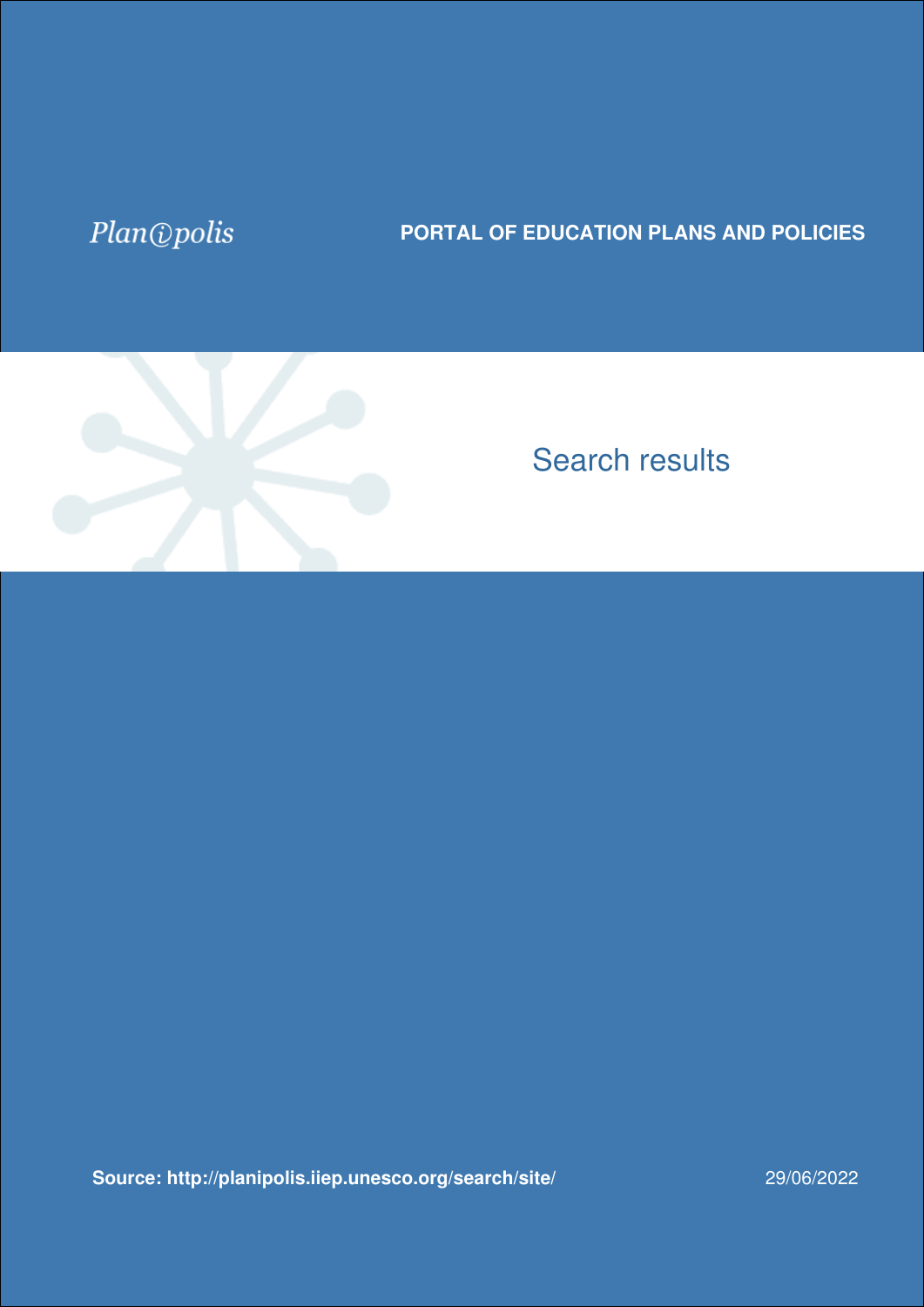## Plan@polis

## **PORTAL OF EDUCATION PLANS AND POLICIES**



## Search results

**[Source: http://planipolis.iiep.unesco.org/search/site/](https://planipolis.iiep.unesco.org/search/site?f%5B0%5D=im_field_countries%3A1047&f%5B1%5D=im_field_countries%3A1026&f%5B2%5D=im_field_languages%3A1598&f%5B3%5D=im_field_keywords%3A3200&f%5B4%5D=im_field_ressource_type%3A1254&f%5B5%5D=im_field_countries%3A1184&f%5B6%5D=im_field_status%3A3263&f%5B7%5D=im_field_countries%3A1227)** 29/06/2022